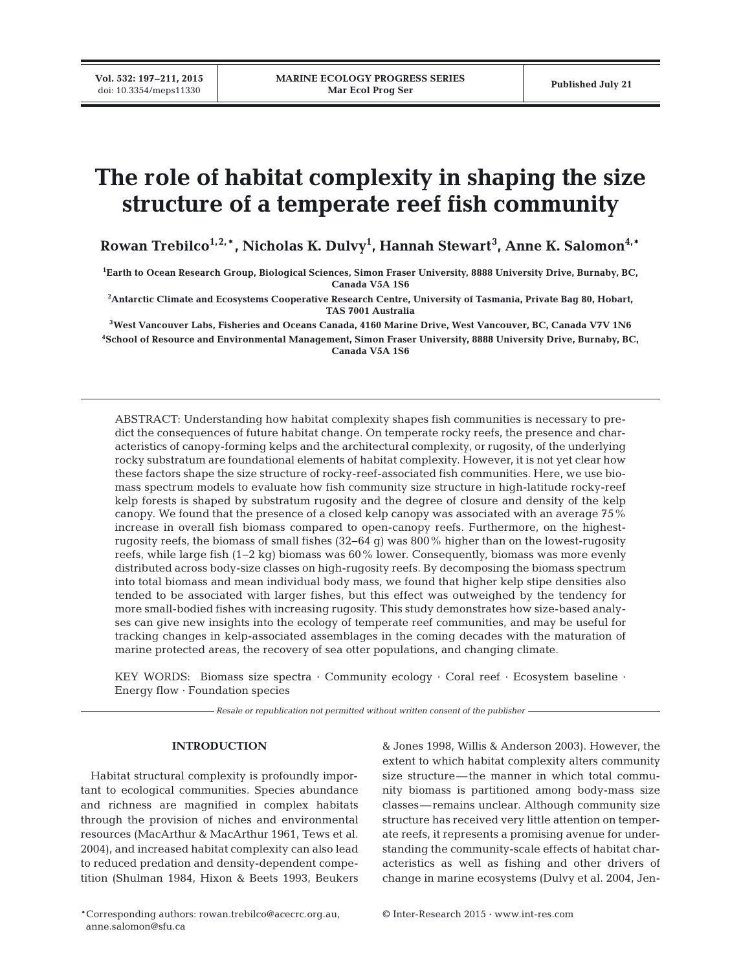# **The role of habitat complexity in shaping the size structure of a temperate reef fish community**

 ${\bf Rowan\; Trebilco}^{1,2,*}$ , Nicholas K. Dulvy<sup>1</sup>, Hannah Stewart $^3$ , Anne K. Salomon $^{4,*}$ 

**1 Earth to Ocean Research Group, Biological Sciences, Simon Fraser University, 8888 University Drive, Burnaby, BC, Canada V5A 1S6**

**2 Antarctic Climate and Ecosystems Cooperative Research Centre, University of Tasmania, Private Bag 80, Hobart, TAS 7001 Australia**

**3West Vancouver Labs, Fisheries and Oceans Canada, 4160 Marine Drive, West Vancouver, BC, Canada V7V 1N6**

**4 School of Resource and Environmental Management, Simon Fraser University, 8888 University Drive, Burnaby, BC, Canada V5A 1S6**

ABSTRACT: Understanding how habitat complexity shapes fish communities is necessary to predict the consequences of future habitat change. On temperate rocky reefs, the presence and characteristics of canopy-forming kelps and the architectural complexity, or rugosity, of the underlying rocky substratum are foundational elements of habitat complexity. However, it is not yet clear how these factors shape the size structure of rocky-reef-associated fish communities. Here, we use biomass spectrum models to evaluate how fish community size structure in high-latitude rocky-reef kelp forests is shaped by substratum rugosity and the degree of closure and density of the kelp canopy. We found that the presence of a closed kelp canopy was associated with an average 75% increase in overall fish biomass compared to open-canopy reefs. Furthermore, on the highestrugosity reefs, the biomass of small fishes (32−64 g) was 800% higher than on the lowest-rugosity reefs, while large fish (1−2 kg) biomass was 60% lower. Consequently, biomass was more evenly distributed across body-size classes on high-rugosity reefs. By decomposing the biomass spectrum into total biomass and mean individual body mass, we found that higher kelp stipe densities also tended to be associated with larger fishes, but this effect was outweighed by the tendency for more small-bodied fishes with increasing rugosity. This study demonstrates how size-based analyses can give new insights into the ecology of temperate reef communities, and may be useful for tracking changes in kelp-associated assemblages in the coming decades with the maturation of marine protected areas, the recovery of sea otter populations, and changing climate.

KEY WORDS: Biomass size spectra · Community ecology · Coral reef · Ecosystem baseline · Energy flow · Foundation species

*Resale or republication not permitted without written consent of the publisher*

## **INTRODUCTION**

Habitat structural complexity is profoundly important to ecological communities. Species abundance and richness are magnified in complex habitats through the provision of niches and environmental resources (MacArthur & MacArthur 1961, Tews et al. 2004), and increased habitat complexity can also lead to reduced predation and density-dependent competition (Shulman 1984, Hixon & Beets 1993, Beukers & Jones 1998, Willis & Anderson 2003). However, the extent to which habitat complexity alters community size structure—the manner in which total community biomass is partitioned among body-mass size classes—remains unclear. Although community size structure has received very little attention on temperate reefs, it represents a promising avenue for understanding the community-scale effects of habitat characteristics as well as fishing and other drivers of change in marine ecosystems (Dulvy et al. 2004, Jen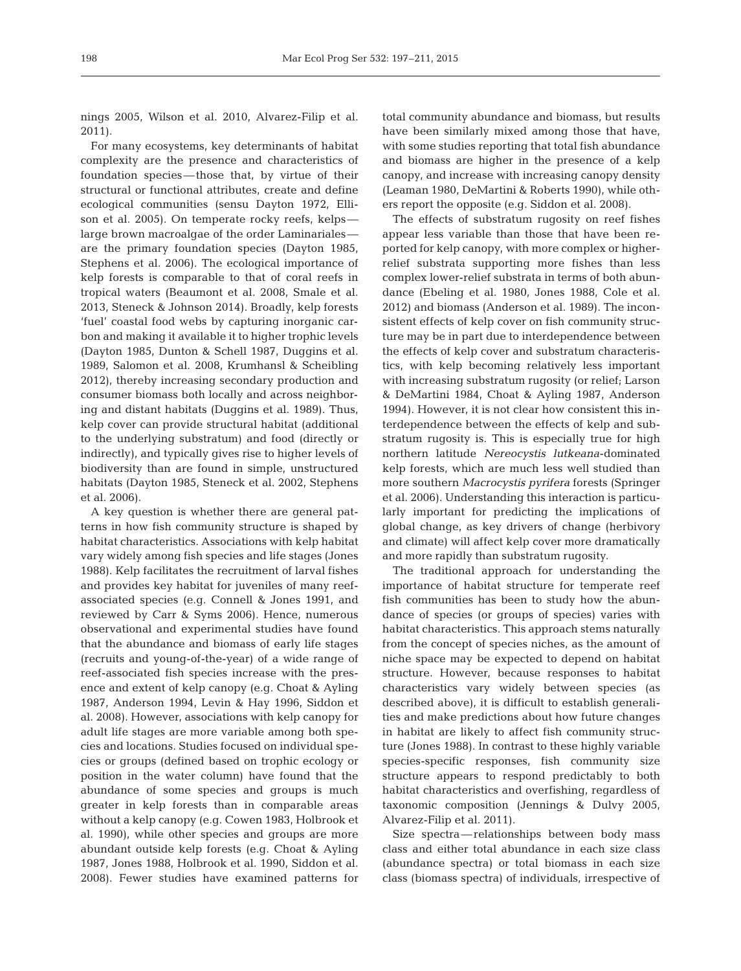nings 2005, Wilson et al. 2010, Alvarez-Filip et al. 2011).

For many ecosystems, key determinants of habitat complexity are the presence and characteristics of foundation species—those that, by virtue of their structural or functional attributes, create and define ecological communities (sensu Dayton 1972, Ellison et al. 2005). On temperate rocky reefs, kelps large brown macroalgae of the order Laminariales are the primary foundation species (Dayton 1985, Stephens et al. 2006). The ecological importance of kelp forests is comparable to that of coral reefs in tropical waters (Beaumont et al. 2008, Smale et al. 2013, Steneck & Johnson 2014). Broadly, kelp forests 'fuel' coastal food webs by capturing inorganic carbon and making it available it to higher trophic levels (Dayton 1985, Dunton & Schell 1987, Duggins et al. 1989, Salomon et al. 2008, Krumhansl & Scheibling 2012), thereby increasing secondary production and consumer biomass both locally and across neighboring and distant habitats (Duggins et al. 1989). Thus, kelp cover can provide structural habitat (additional to the underlying substratum) and food (directly or indirectly), and typically gives rise to higher levels of biodiversity than are found in simple, unstructured habitats (Dayton 1985, Steneck et al. 2002, Stephens et al. 2006).

A key question is whether there are general patterns in how fish community structure is shaped by habitat characteristics. Associations with kelp habitat vary widely among fish species and life stages (Jones 1988). Kelp facilitates the recruitment of larval fishes and provides key habitat for juveniles of many reefassociated species (e.g. Connell & Jones 1991, and reviewed by Carr & Syms 2006). Hence, numerous observational and experimental studies have found that the abundance and biomass of early life stages (recruits and young-of-the-year) of a wide range of reef-associated fish species increase with the presence and extent of kelp canopy (e.g. Choat & Ayling 1987, Anderson 1994, Levin & Hay 1996, Siddon et al. 2008). However, associations with kelp canopy for adult life stages are more variable among both species and locations. Studies focused on individual species or groups (defined based on trophic ecology or position in the water column) have found that the abundance of some species and groups is much greater in kelp forests than in comparable areas without a kelp canopy (e.g. Cowen 1983, Holbrook et al. 1990), while other species and groups are more abundant outside kelp forests (e.g. Choat & Ayling 1987, Jones 1988, Holbrook et al. 1990, Siddon et al. 2008). Fewer studies have examined patterns for

total community abundance and biomass, but results have been similarly mixed among those that have, with some studies reporting that total fish abundance and biomass are higher in the presence of a kelp canopy, and increase with increasing canopy density (Leaman 1980, DeMartini & Roberts 1990), while others report the opposite (e.g. Siddon et al. 2008).

The effects of substratum rugosity on reef fishes appear less variable than those that have been reported for kelp canopy, with more complex or higherrelief substrata supporting more fishes than less complex lower-relief substrata in terms of both abundance (Ebeling et al. 1980, Jones 1988, Cole et al. 2012) and biomass (Anderson et al. 1989). The inconsistent effects of kelp cover on fish community structure may be in part due to interdependence between the effects of kelp cover and substratum characteristics, with kelp becoming relatively less important with increasing substratum rugosity (or relief; Larson & DeMartini 1984, Choat & Ayling 1987, Anderson 1994). However, it is not clear how consistent this interdependence between the effects of kelp and substratum rugosity is. This is especially true for high northern latitude *Nereocystis lutkeana*-dominated kelp forests, which are much less well studied than more southern *Macrocystis pyrifera* forests (Springer et al. 2006). Understanding this interaction is particularly important for predicting the implications of global change, as key drivers of change (herbivory and climate) will affect kelp cover more dramatically and more rapidly than substratum rugosity.

The traditional approach for understanding the importance of habitat structure for temperate reef fish communities has been to study how the abundance of species (or groups of species) varies with habitat characteristics. This approach stems naturally from the concept of species niches, as the amount of niche space may be expected to depend on habitat structure. However, because responses to habitat characteristics vary widely between species (as described above), it is difficult to establish generalities and make predictions about how future changes in habitat are likely to affect fish community structure (Jones 1988). In contrast to these highly variable species-specific responses, fish community size structure appears to respond predictably to both habitat characteristics and overfishing, regardless of taxonomic composition (Jennings & Dulvy 2005, Alvarez-Filip et al. 2011).

Size spectra—relationships between body mass class and either total abundance in each size class (abundance spectra) or total biomass in each size class (biomass spectra) of individuals, irrespective of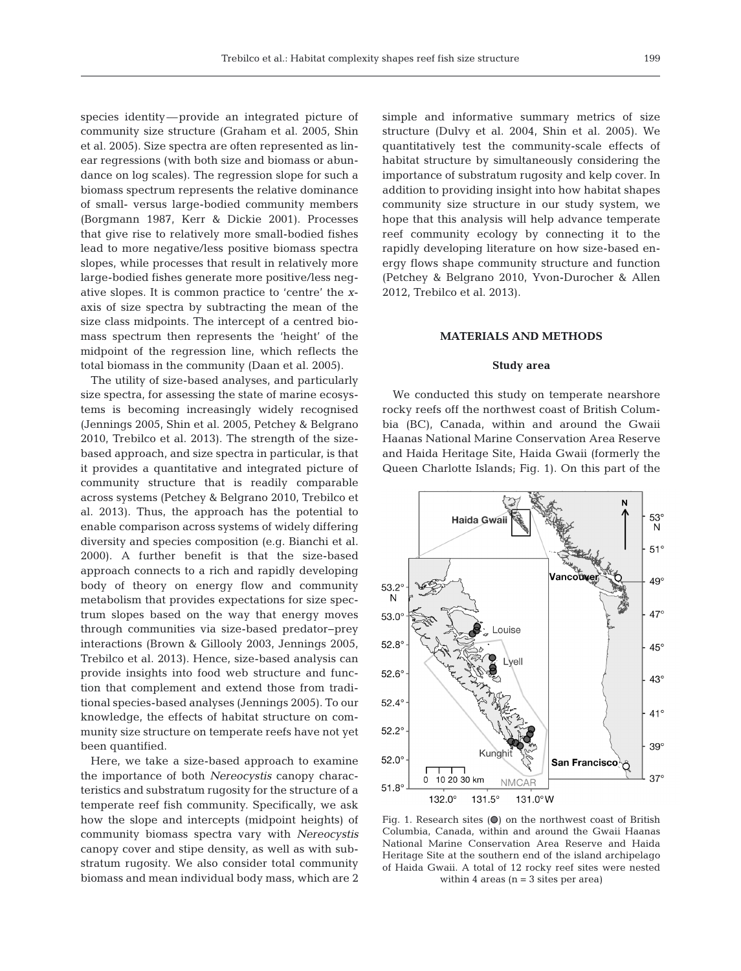species identity—provide an integrated picture of community size structure (Graham et al. 2005, Shin et al. 2005). Size spectra are often represented as linear regressions (with both size and biomass or abundance on log scales). The regression slope for such a biomass spectrum represents the relative dominance of small- versus large-bodied community members (Borgmann 1987, Kerr & Dickie 2001). Processes that give rise to relatively more small-bodied fishes lead to more negative/less positive biomass spectra slopes, while processes that result in relatively more large-bodied fishes generate more positive/less negative slopes. It is common practice to 'centre' the *x*axis of size spectra by subtracting the mean of the size class midpoints. The intercept of a centred biomass spectrum then represents the 'height' of the midpoint of the regression line, which reflects the total biomass in the community (Daan et al. 2005).

The utility of size-based analyses, and particularly size spectra, for assessing the state of marine ecosystems is becoming increasingly widely recognised (Jennings 2005, Shin et al. 2005, Petchey & Belgrano 2010, Trebilco et al. 2013). The strength of the sizebased approach, and size spectra in particular, is that it provides a quantitative and integrated picture of community structure that is readily comparable across systems (Petchey & Belgrano 2010, Trebilco et al. 2013). Thus, the approach has the potential to enable comparison across systems of widely differing diversity and species composition (e.g. Bianchi et al. 2000). A further benefit is that the size-based approach connects to a rich and rapidly developing body of theory on energy flow and community metabolism that provides expectations for size spectrum slopes based on the way that energy moves through communities via size-based predator−prey interactions (Brown & Gillooly 2003, Jennings 2005, Trebilco et al. 2013). Hence, size-based analysis can provide insights into food web structure and function that complement and extend those from traditional species-based analyses (Jennings 2005). To our knowledge, the effects of habitat structure on community size structure on temperate reefs have not yet been quantified.

Here, we take a size-based approach to examine the importance of both *Nereocystis* canopy characteristics and substratum rugosity for the structure of a temperate reef fish community. Specifically, we ask how the slope and intercepts (midpoint heights) of community biomass spectra vary with *Nereocystis* canopy cover and stipe density, as well as with substratum rugosity. We also consider total community biomass and mean individual body mass, which are 2

simple and informative summary metrics of size structure (Dulvy et al. 2004, Shin et al. 2005). We quantitatively test the community-scale effects of habitat structure by simultaneously considering the importance of substratum rugosity and kelp cover. In addition to providing insight into how habitat shapes community size structure in our study system, we hope that this analysis will help advance temperate reef community ecology by connecting it to the rapidly developing literature on how size-based energy flows shape community structure and function (Petchey & Belgrano 2010, Yvon-Durocher & Allen 2012, Trebilco et al. 2013).

#### **MATERIALS AND METHODS**

#### **Study area**

We conducted this study on temperate nearshore rocky reefs off the northwest coast of British Columbia (BC), Canada, within and around the Gwaii Haanas National Marine Conservation Area Reserve and Haida Heritage Site, Haida Gwaii (formerly the Queen Charlotte Islands; Fig. 1). On this part of the



Fig. 1. Research sites  $\left( \bigcirc \right)$  on the northwest coast of British Columbia, Canada, within and around the Gwaii Haanas National Marine Conservation Area Reserve and Haida Heritage Site at the southern end of the island archipelago of Haida Gwaii. A total of 12 rocky reef sites were nested within 4 areas  $(n = 3$  sites per area)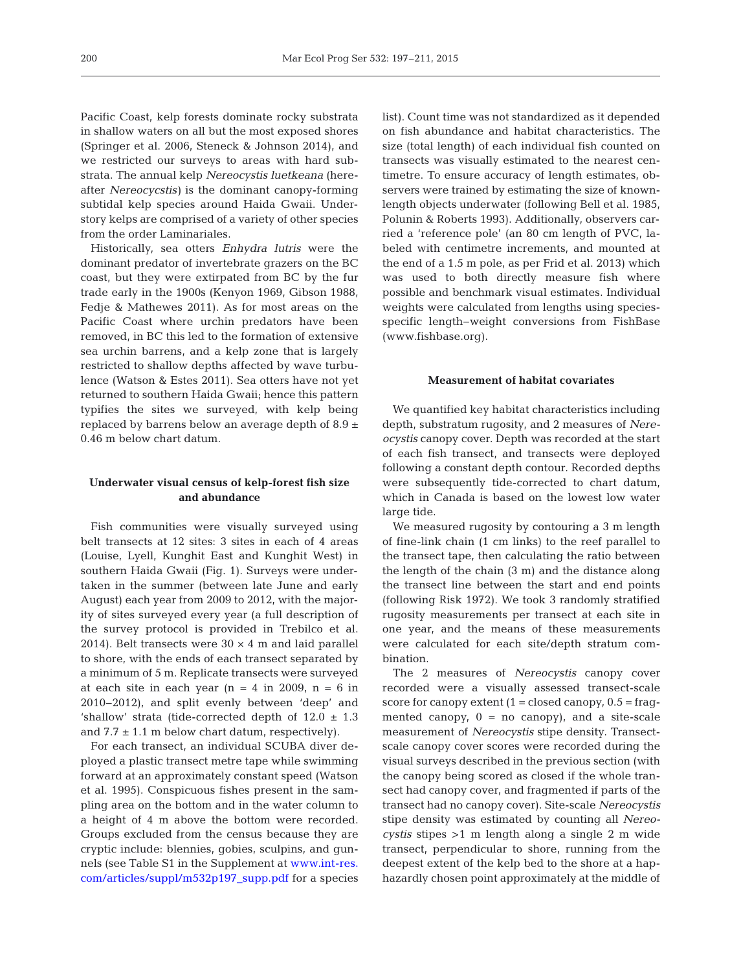Pacific Coast, kelp forests dominate rocky substrata in shallow waters on all but the most exposed shores (Springer et al. 2006, Steneck & Johnson 2014), and we restricted our surveys to areas with hard substrata. The annual kelp *Nereocystis luetkeana* (hereafter *Nereocycstis)* is the dominant canopy-forming subtidal kelp species around Haida Gwaii. Understory kelps are comprised of a variety of other species from the order Laminariales.

Historically, sea otters *Enhydra lutris* were the dominant predator of invertebrate grazers on the BC coast, but they were extirpated from BC by the fur trade early in the 1900s (Kenyon 1969, Gibson 1988, Fedje & Mathewes 2011). As for most areas on the Pacific Coast where urchin predators have been removed, in BC this led to the formation of extensive sea urchin barrens, and a kelp zone that is largely restricted to shallow depths affected by wave turbulence (Watson & Estes 2011). Sea otters have not yet returned to southern Haida Gwaii; hence this pattern typifies the sites we surveyed, with kelp being replaced by barrens below an average depth of  $8.9 \pm$ 0.46 m below chart datum.

# **Underwater visual census of kelp-forest fish size and abundance**

Fish communities were visually surveyed using belt transects at 12 sites: 3 sites in each of 4 areas (Louise, Lyell, Kunghit East and Kunghit West) in southern Haida Gwaii (Fig. 1). Surveys were undertaken in the summer (between late June and early August) each year from 2009 to 2012, with the majority of sites surveyed every year (a full description of the survey protocol is provided in Trebilco et al. 2014). Belt transects were  $30 \times 4$  m and laid parallel to shore, with the ends of each transect separated by a minimum of 5 m. Replicate transects were surveyed at each site in each year  $(n = 4$  in 2009,  $n = 6$  in 2010−2012), and split evenly between 'deep' and 'shallow' strata (tide-corrected depth of  $12.0 \pm 1.3$ and  $7.7 \pm 1.1$  m below chart datum, respectively).

For each transect, an individual SCUBA diver deployed a plastic transect metre tape while swimming forward at an approximately constant speed (Watson et al. 1995). Conspicuous fishes present in the sampling area on the bottom and in the water column to a height of 4 m above the bottom were recorded. Groups excluded from the census because they are cryptic include: blennies, gobies, sculpins, and gunnels (see Table S1 in the Supplement at www.int-res. [com/ articles/suppl/m532p197\\_ supp. pdf for a species](http://www.int-res.com/articles/suppl/m532p197_supp.pdf) list). Count time was not standardized as it depended on fish abundance and habitat characteristics. The size (total length) of each individual fish counted on transects was visually estimated to the nearest centimetre. To ensure accuracy of length estimates, observers were trained by estimating the size of knownlength objects underwater (following Bell et al. 1985, Polunin & Roberts 1993). Additionally, observers carried a 'reference pole' (an 80 cm length of PVC, labeled with centimetre increments, and mounted at the end of a 1.5 m pole, as per Frid et al. 2013) which was used to both directly measure fish where possible and benchmark visual estimates. Individual weights were calculated from lengths using speciesspecific length−weight conversions from FishBase (www.fishbase.org).

#### **Measurement of habitat covariates**

We quantified key habitat characteristics including depth, substratum rugosity, and 2 measures of *Nereocystis* canopy cover. Depth was recorded at the start of each fish transect, and transects were deployed following a constant depth contour. Recorded depths were subsequently tide-corrected to chart datum, which in Canada is based on the lowest low water large tide.

We measured rugosity by contouring a 3 m length of fine-link chain (1 cm links) to the reef parallel to the transect tape, then calculating the ratio between the length of the chain (3 m) and the distance along the transect line between the start and end points (following Risk 1972). We took 3 randomly stratified rugosity measurements per transect at each site in one year, and the means of these measurements were calculated for each site/depth stratum combination.

The 2 measures of *Nereocystis* canopy cover recorded were a visually assessed transect-scale score for canopy extent  $(1 = closed canopy, 0.5 = frag$ mented canopy,  $0 = no$  canopy), and a site-scale measurement of *Nereocystis* stipe density. Transectscale canopy cover scores were recorded during the visual surveys described in the previous section (with the canopy being scored as closed if the whole transect had canopy cover, and fragmented if parts of the transect had no canopy cover). Site-scale *Nereocystis* stipe density was estimated by counting all *Nereocystis* stipes >1 m length along a single 2 m wide transect, perpendicular to shore, running from the deepest extent of the kelp bed to the shore at a haphazardly chosen point approximately at the middle of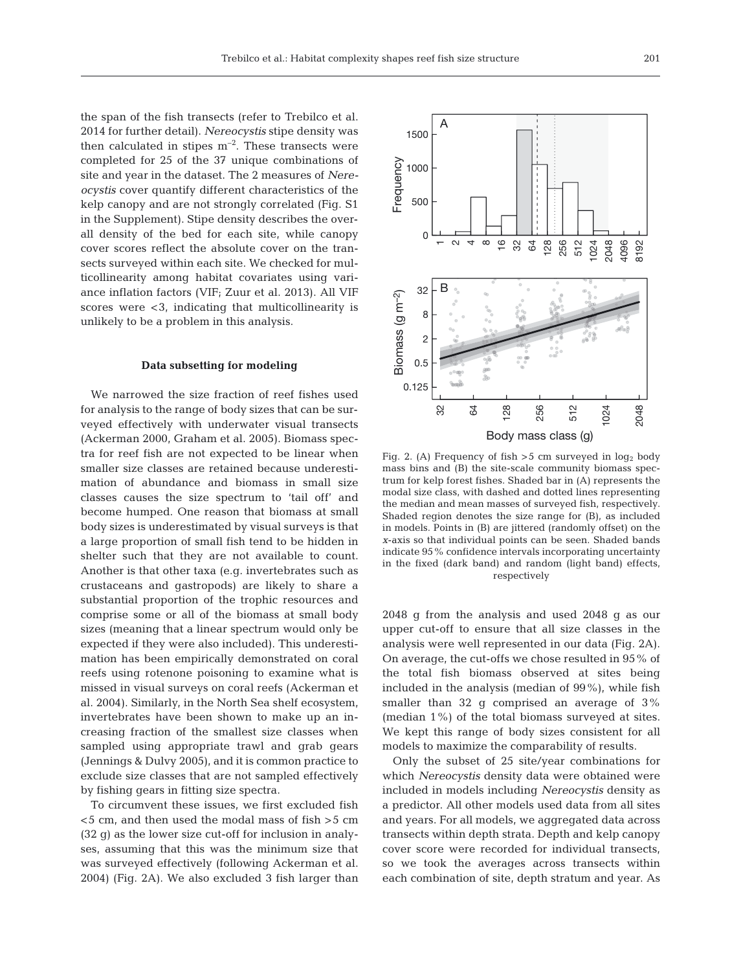the span of the fish transects (refer to Trebilco et al. 2014 for further detail). *Nereocystis* stipe density was then calculated in stipes  $m^{-2}$ . These transects were completed for 25 of the 37 unique combinations of site and year in the dataset. The 2 measures of *Nereocystis* cover quantify different characteristics of the kelp canopy and are not strongly correlated (Fig. S1 in the Supplement). Stipe density describes the overall density of the bed for each site, while canopy cover scores reflect the absolute cover on the transects surveyed within each site. We checked for multicollinearity among habitat covariates using variance inflation factors (VIF; Zuur et al. 2013). All VIF scores were <3, indicating that multicollinearity is unlikely to be a problem in this analysis.

### **Data subsetting for modeling**

We narrowed the size fraction of reef fishes used for analysis to the range of body sizes that can be surveyed effectively with underwater visual transects (Ackerman 2000, Graham et al. 2005). Biomass spectra for reef fish are not expected to be linear when smaller size classes are retained because underestimation of abundance and biomass in small size classes causes the size spectrum to 'tail off' and become humped. One reason that biomass at small body sizes is underestimated by visual surveys is that a large proportion of small fish tend to be hidden in shelter such that they are not available to count. Another is that other taxa (e.g. invertebrates such as crustaceans and gastropods) are likely to share a substantial proportion of the trophic resources and comprise some or all of the biomass at small body sizes (meaning that a linear spectrum would only be expected if they were also included). This underestimation has been empirically demonstrated on coral reefs using rotenone poisoning to examine what is missed in visual surveys on coral reefs (Ackerman et al. 2004). Similarly, in the North Sea shelf ecosystem, invertebrates have been shown to make up an increasing fraction of the smallest size classes when sampled using appropriate trawl and grab gears (Jennings & Dulvy 2005), and it is common practice to exclude size classes that are not sampled effectively by fishing gears in fitting size spectra.

To circumvent these issues, we first excluded fish <5 cm, and then used the modal mass of fish >5 cm (32 g) as the lower size cut-off for inclusion in analyses, assuming that this was the minimum size that was surveyed effectively (following Ackerman et al. 2004) (Fig. 2A). We also excluded 3 fish larger than



Fig. 2. (A) Frequency of fish  $>5$  cm surveyed in log<sub>2</sub> body mass bins and (B) the site-scale community biomass spectrum for kelp forest fishes. Shaded bar in (A) represents the modal size class, with dashed and dotted lines representing the median and mean masses of surveyed fish, respectively. Shaded region denotes the size range for (B), as included in models. Points in (B) are jittered (randomly offset) on the *x*-axis so that individual points can be seen. Shaded bands indicate 95% confidence intervals incorporating uncertainty in the fixed (dark band) and random (light band) effects, respectively

2048 g from the analysis and used 2048 g as our upper cut-off to ensure that all size classes in the analysis were well represented in our data (Fig. 2A). On average, the cut-offs we chose resulted in 95% of the total fish biomass observed at sites being included in the analysis (median of 99%), while fish smaller than 32 g comprised an average of 3% (median 1%) of the total biomass surveyed at sites. We kept this range of body sizes consistent for all models to maximize the comparability of results.

Only the subset of 25 site/year combinations for which *Nereocystis* density data were obtained were included in models including *Nereocystis* density as a predictor. All other models used data from all sites and years. For all models, we aggregated data across transects within depth strata. Depth and kelp canopy cover score were recorded for individual transects, so we took the averages across transects within each combination of site, depth stratum and year. As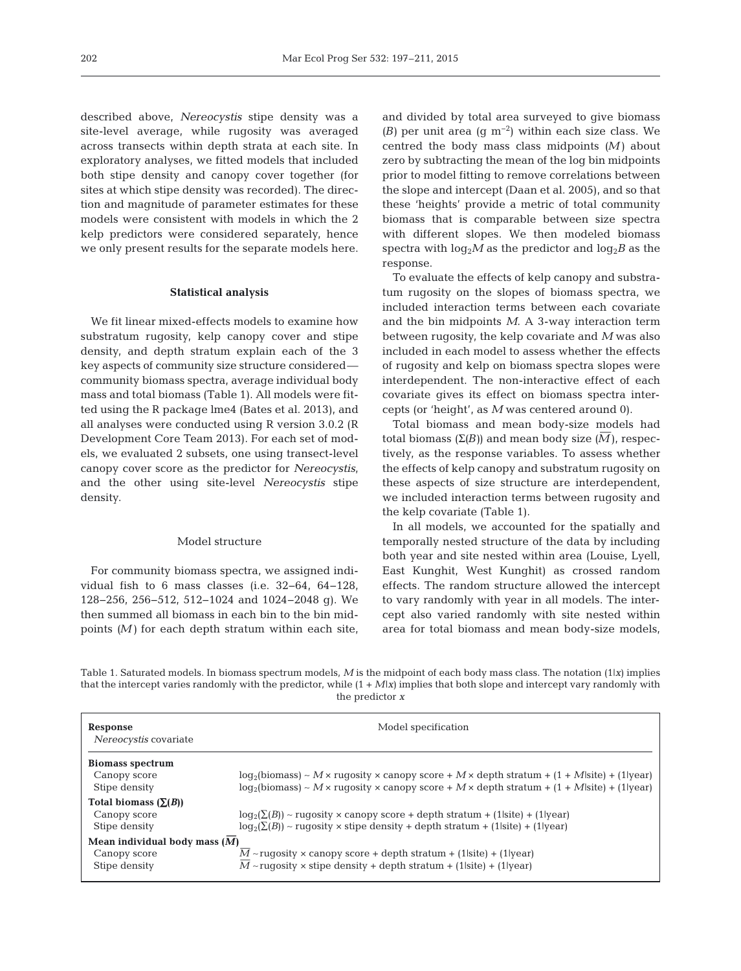described above, *Nereocystis* stipe density was a site-level average, while rugosity was averaged across transects within depth strata at each site. In exploratory analyses, we fitted models that included both stipe density and canopy cover together (for sites at which stipe density was recorded). The direction and magnitude of parameter estimates for these models were consistent with models in which the 2 kelp predictors were considered separately, hence we only present results for the separate models here.

## **Statistical analysis**

We fit linear mixed-effects models to examine how substratum rugosity, kelp canopy cover and stipe density, and depth stratum explain each of the 3 key aspects of community size structure considered community biomass spectra, average individual body mass and total biomass (Table 1). All models were fitted using the R package lme4 (Bates et al. 2013), and all analyses were conducted using R version 3.0.2 (R Development Core Team 2013). For each set of models, we evaluated 2 subsets, one using transect-level canopy cover score as the predictor for *Nereocystis*, and the other using site-level *Nereocystis* stipe density.

#### Model structure

For community biomass spectra, we assigned individual fish to 6 mass classes (i.e. 32−64, 64−128, 128−256, 256−512, 512−1024 and 1024−2048 g). We then summed all biomass in each bin to the bin midpoints *(M)* for each depth stratum within each site, and divided by total area surveyed to give biomass *(B)* per unit area (g m−2) within each size class. We centred the body mass class midpoints *(M)* about zero by subtracting the mean of the log bin midpoints prior to model fitting to remove correlations between the slope and intercept (Daan et al. 2005), and so that these 'heights' provide a metric of total community biomass that is comparable between size spectra with different slopes. We then modeled biomass spectra with  $log_2 M$  as the predictor and  $log_2 B$  as the response.

To evaluate the effects of kelp canopy and substratum rugosity on the slopes of biomass spectra, we included interaction terms between each covariate and the bin midpoints *M*. A 3-way interaction term between rugosity, the kelp covariate and *M* was also included in each model to assess whether the effects of rugosity and kelp on biomass spectra slopes were interdependent. The non-interactive effect of each covariate gives its effect on biomass spectra intercepts (or 'height', as *M* was centered around 0).

Total biomass and mean body-size models had total biomass ( $\Sigma(B)$ ) and mean body size ( $\overline{M}$ ), respectively, as the response variables. To assess whether the effects of kelp canopy and substratum rugosity on these aspects of size structure are interdependent, we included interaction terms between rugosity and the kelp covariate (Table 1).

In all models, we accounted for the spatially and temporally nested structure of the data by including both year and site nested within area (Louise, Lyell, East Kunghit, West Kunghit) as crossed random effects. The random structure allowed the intercept to vary randomly with year in all models. The intercept also varied randomly with site nested within area for total biomass and mean body-size models,

Table 1. Saturated models. In biomass spectrum models, *M* is the midpoint of each body mass class. The notation (1|*x*) implies that the intercept varies randomly with the predictor, while (1 + *M*|*x*) implies that both slope and intercept vary randomly with the predictor *x*

| Response<br>Nereocystis covariate                                | Model specification                                                                                                                                                         |  |  |  |  |  |  |  |  |
|------------------------------------------------------------------|-----------------------------------------------------------------------------------------------------------------------------------------------------------------------------|--|--|--|--|--|--|--|--|
| <b>Biomass spectrum</b><br>Canopy score                          | $log_2(biomass) \sim M \times rugosity \times canopy score + M \times depth stratum + (1 + M-site) + (1 year)$                                                              |  |  |  |  |  |  |  |  |
| Stipe density                                                    | $log_2(biomass) \sim M \times rugosity \times canopy score + M \times depth stratum + (1 + M-site) + (1 year)$                                                              |  |  |  |  |  |  |  |  |
| Total biomass $(\Sigma(B))$<br>Canopy score<br>Stipe density     | $log_2(\Sigma(B))$ ~ rugosity × canopy score + depth stratum + (1 site) + (1 year)<br>$\log_2(\Sigma(B))$ ~ rugosity × stipe density + depth stratum + (1 site) + (1 lyear) |  |  |  |  |  |  |  |  |
| Mean individual body mass $(M)$<br>Canopy score<br>Stipe density | $M \sim$ ruqosity × canopy score + depth stratum + (1 site) + (1 year)<br>$M \sim$ ruqosity × stipe density + depth stratum + (1 site) + (1 year)                           |  |  |  |  |  |  |  |  |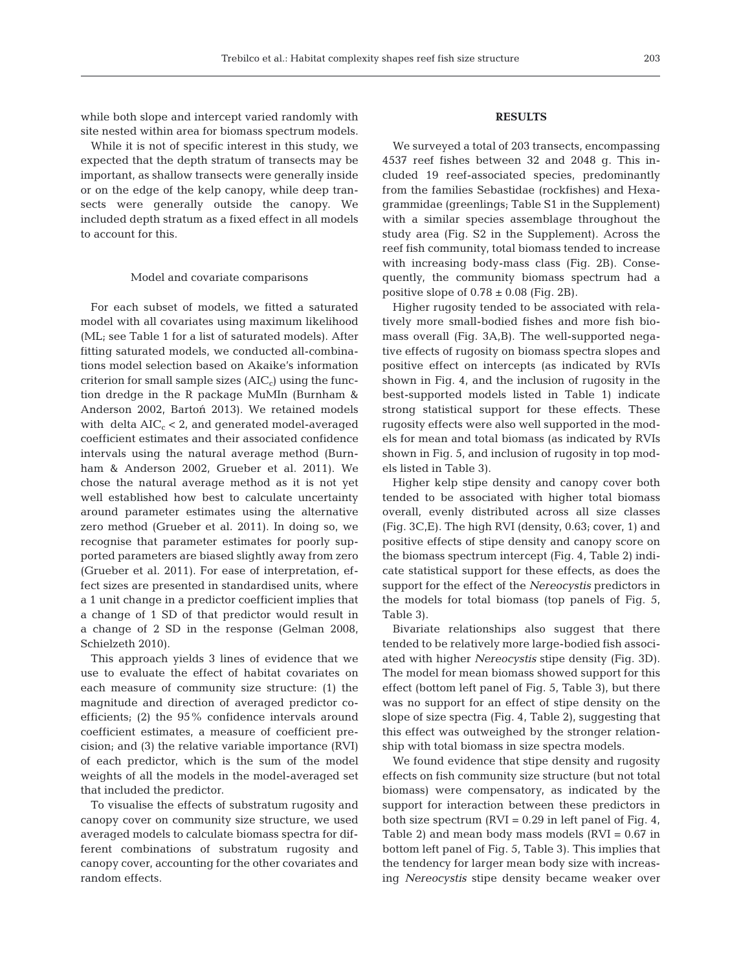while both slope and intercept varied randomly with site nested within area for biomass spectrum models.

While it is not of specific interest in this study, we expected that the depth stratum of transects may be important, as shallow transects were generally inside or on the edge of the kelp canopy, while deep transects were generally outside the canopy. We included depth stratum as a fixed effect in all models to account for this.

# Model and covariate comparisons

For each subset of models, we fitted a saturated model with all covariates using maximum likelihood (ML; see Table 1 for a list of saturated models). After fitting saturated models, we conducted all-combinations model selection based on Akaike's information criterion for small sample sizes  $(AIC<sub>c</sub>)$  using the function dredge in the R package MuMIn (Burnham & Anderson 2002, Bartoń 2013). We retained models with delta  $AIC_c < 2$ , and generated model-averaged coefficient estimates and their associated confidence intervals using the natural average method (Burnham & Anderson 2002, Grueber et al. 2011). We chose the natural average method as it is not yet well established how best to calculate uncertainty around parameter estimates using the alternative zero method (Grueber et al. 2011). In doing so, we recognise that parameter estimates for poorly supported parameters are biased slightly away from zero (Grueber et al. 2011). For ease of interpretation, ef fect sizes are presented in standardised units, where a 1 unit change in a predictor coefficient implies that a change of 1 SD of that predictor would result in a change of 2 SD in the response (Gelman 2008, Schielzeth 2010).

This approach yields 3 lines of evidence that we use to evaluate the effect of habitat covariates on each measure of community size structure: (1) the magnitude and direction of averaged predictor coefficients; (2) the 95% confidence intervals around coefficient estimates, a measure of coefficient pre cision; and (3) the relative variable importance (RVI) of each predictor, which is the sum of the model weights of all the models in the model-averaged set that included the predictor.

To visualise the effects of substratum rugosity and canopy cover on community size structure, we used averaged models to calculate biomass spectra for different combinations of substratum rugosity and canopy cover, accounting for the other covariates and random effects.

# **RESULTS**

We surveyed a total of 203 transects, encompassing 4537 reef fishes between 32 and 2048 g. This in cluded 19 reef-associated species, predominantly from the families Sebastidae (rockfishes) and Hexagrammidae (greenlings; Table S1 in the Supplement) with a similar species assemblage throughout the study area (Fig. S2 in the Supplement). Across the reef fish community, total biomass tended to increase with increasing body-mass class (Fig. 2B). Consequently, the community biomass spectrum had a positive slope of  $0.78 \pm 0.08$  (Fig. 2B).

Higher rugosity tended to be associated with relatively more small-bodied fishes and more fish biomass overall (Fig. 3A,B). The well-supported negative effects of rugosity on biomass spectra slopes and positive effect on intercepts (as indicated by RVIs shown in Fig. 4, and the inclusion of rugosity in the best-supported models listed in Table 1) indicate strong statistical support for these effects. These rugosity effects were also well supported in the models for mean and total biomass (as indicated by RVIs shown in Fig. 5, and inclusion of rugosity in top models listed in Table 3).

Higher kelp stipe density and canopy cover both tended to be associated with higher total biomass overall, evenly distributed across all size classes (Fig. 3C,E). The high RVI (density, 0.63; cover, 1) and positive effects of stipe density and canopy score on the biomass spectrum intercept (Fig. 4, Table 2) indicate statistical support for these effects, as does the support for the effect of the *Nereocystis* predictors in the models for total biomass (top panels of Fig. 5, Table 3).

Bivariate relationships also suggest that there tended to be relatively more large-bodied fish associated with higher *Nereocystis* stipe density (Fig. 3D). The model for mean biomass showed support for this effect (bottom left panel of Fig. 5, Table 3), but there was no support for an effect of stipe density on the slope of size spectra (Fig. 4, Table 2), suggesting that this effect was outweighed by the stronger relationship with total biomass in size spectra models.

We found evidence that stipe density and rugosity effects on fish community size structure (but not total biomass) were compensatory, as indicated by the support for interaction between these predictors in both size spectrum ( $\text{RVI} = 0.29$  in left panel of Fig. 4, Table 2) and mean body mass models  $(RVI = 0.67$  in bottom left panel of Fig. 5, Table 3). This implies that the tendency for larger mean body size with increasing *Nereocystis* stipe density became weaker over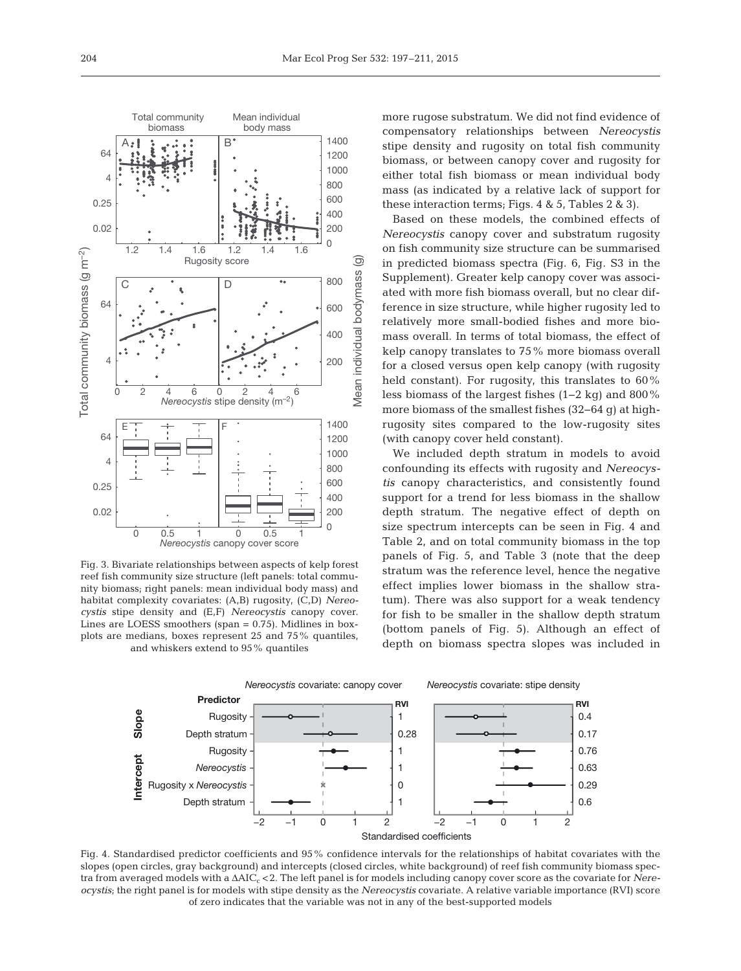

Fig. 3. Bivariate relationships between aspects of kelp forest reef fish community size structure (left panels: total community biomass; right panels: mean individual body mass) and habitat complexity covariates: (A,B) rugosity, (C,D) *Nereocystis* stipe density and (E,F) *Nereocystis* canopy cover. Lines are LOESS smoothers (span = 0.75). Midlines in boxplots are medians, boxes represent 25 and 75% quantiles, and whiskers extend to 95% quantiles

more rugose substratum. We did not find evidence of compensatory relationships between *Nereocystis* stipe density and rugosity on total fish community biomass, or between canopy cover and rugosity for either total fish biomass or mean individual body mass (as indicated by a relative lack of support for these interaction terms; Figs. 4 & 5, Tables 2 & 3).

Based on these models, the combined effects of *Nereocystis* canopy cover and substratum rugosity on fish community size structure can be summarised in predicted biomass spectra (Fig. 6, Fig. S3 in the Supplement). Greater kelp canopy cover was associated with more fish biomass overall, but no clear difference in size structure, while higher rugosity led to relatively more small-bodied fishes and more biomass overall. In terms of total biomass, the effect of kelp canopy translates to 75% more biomass overall for a closed versus open kelp canopy (with rugosity held constant). For rugosity, this translates to 60% less biomass of the largest fishes (1−2 kg) and 800% more biomass of the smallest fishes (32−64 g) at highrugosity sites compared to the low-rugosity sites (with canopy cover held constant).

We included depth stratum in models to avoid confounding its effects with rugosity and *Nereocystis* canopy characteristics, and consistently found support for a trend for less biomass in the shallow depth stratum. The negative effect of depth on size spectrum intercepts can be seen in Fig. 4 and Table 2, and on total community biomass in the top panels of Fig. 5, and Table 3 (note that the deep stratum was the reference level, hence the negative effect implies lower biomass in the shallow stratum). There was also support for a weak tendency for fish to be smaller in the shallow depth stratum (bottom panels of Fig. 5). Although an effect of depth on biomass spectra slopes was included in



Fig. 4. Standardised predictor coefficients and 95% confidence intervals for the relationships of habitat covariates with the slopes (open circles, gray background) and intercepts (closed circles, white background) of reef fish community biomass spectra from averaged models with a ΔAIC<sub>c</sub> < 2. The left panel is for models including canopy cover score as the covariate for *Nereocystis*; the right panel is for models with stipe density as the *Nereocystis* covariate. A relative variable importance (RVI) score of zero indicates that the variable was not in any of the best-supported models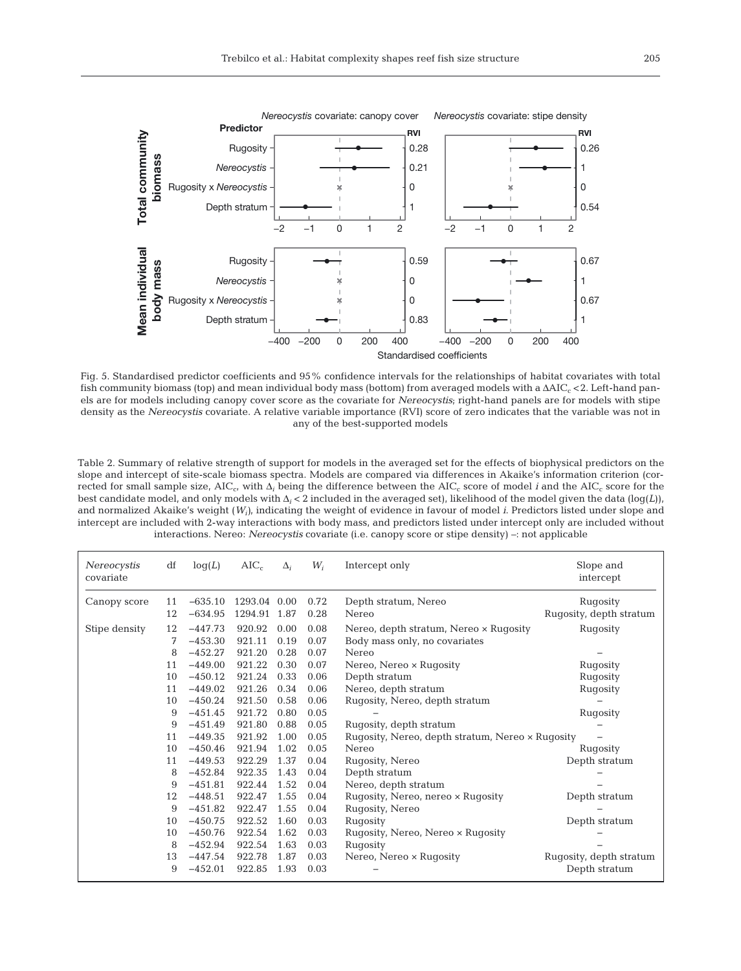

Fig. 5. Standardised predictor coefficients and 95% confidence intervals for the relationships of habitat covariates with total fish community biomass (top) and mean individual body mass (bottom) from averaged models with a ΔAIC<sub>c</sub> < 2. Left-hand panels are for models including canopy cover score as the covariate for *Nereocystis*; right-hand panels are for models with stipe density as the *Nereocystis* covariate. A relative variable importance (RVI) score of zero indicates that the variable was not in any of the best-supported models

Table 2. Summary of relative strength of support for models in the averaged set for the effects of biophysical predictors on the slope and intercept of site-scale biomass spectra. Models are compared via differences in Akaike's information criterion (corrected for small sample size, AICc, with Δ*<sup>i</sup>* being the difference between the AICc score of model *i* and the AICc score for the best candidate model, and only models with Δ*<sup>i</sup>* < 2 included in the averaged set), likelihood of the model given the data (log(*L*)), and normalized Akaike's weight (*Wi)*, indicating the weight of evidence in favour of model *i*. Predictors listed under slope and intercept are included with 2-way interactions with body mass, and predictors listed under intercept only are included without interactions. Nereo: *Nereocystis* covariate (i.e. canopy score or stipe density) –: not applicable

| Nereocystis<br>covariate | df | log(L)    | $AIC_c$      | $\Delta_i$ | $W_i$ | Intercept only                                   | Slope and<br>intercept  |  |  |
|--------------------------|----|-----------|--------------|------------|-------|--------------------------------------------------|-------------------------|--|--|
| Canopy score             | 11 | $-635.10$ | 1293.04 0.00 |            | 0.72  | Depth stratum, Nereo                             | Rugosity                |  |  |
|                          | 12 | $-634.95$ | 1294.91      | 1.87       | 0.28  | Nereo                                            | Rugosity, depth stratum |  |  |
| Stipe density            | 12 | $-447.73$ | 920.92       | 0.00       | 0.08  | Nereo, depth stratum, Nereo x Rugosity           | Rugosity                |  |  |
|                          | 7  | $-453.30$ | 921.11       | 0.19       | 0.07  | Body mass only, no covariates                    |                         |  |  |
|                          | 8  | $-452.27$ | 921.20       | 0.28       | 0.07  | Nereo                                            |                         |  |  |
|                          | 11 | $-449.00$ | 921.22       | 0.30       | 0.07  | Nereo, Nereo × Rugosity                          | Rugosity                |  |  |
|                          | 10 | $-450.12$ | 921.24       | 0.33       | 0.06  | Depth stratum                                    | Rugosity                |  |  |
|                          | 11 | $-449.02$ | 921.26       | 0.34       | 0.06  | Nereo, depth stratum                             | Rugosity                |  |  |
|                          | 10 | $-450.24$ | 921.50       | 0.58       | 0.06  | Rugosity, Nereo, depth stratum                   |                         |  |  |
|                          | 9  | $-451.45$ | 921.72       | 0.80       | 0.05  |                                                  | Rugosity                |  |  |
|                          | 9  | $-451.49$ | 921.80       | 0.88       | 0.05  | Rugosity, depth stratum                          |                         |  |  |
|                          | 11 | $-449.35$ | 921.92       | 1.00       | 0.05  | Rugosity, Nereo, depth stratum, Nereo x Rugosity |                         |  |  |
|                          | 10 | $-450.46$ | 921.94       | 1.02       | 0.05  | Nereo                                            | Rugosity                |  |  |
|                          | 11 | $-449.53$ | 922.29       | 1.37       | 0.04  | Rugosity, Nereo                                  | Depth stratum           |  |  |
|                          | 8  | $-452.84$ | 922.35       | 1.43       | 0.04  | Depth stratum                                    |                         |  |  |
|                          | 9  | $-451.81$ | 922.44       | 1.52       | 0.04  | Nereo, depth stratum                             |                         |  |  |
|                          | 12 | $-448.51$ | 922.47       | 1.55       | 0.04  | Rugosity, Nereo, nereo × Rugosity                | Depth stratum           |  |  |
|                          | 9  | $-451.82$ | 922.47       | 1.55       | 0.04  | Rugosity, Nereo                                  |                         |  |  |
|                          | 10 | $-450.75$ | 922.52       | 1.60       | 0.03  | Rugosity                                         | Depth stratum           |  |  |
|                          | 10 | $-450.76$ | 922.54       | 1.62       | 0.03  | Rugosity, Nereo, Nereo × Rugosity                |                         |  |  |
|                          | 8  | $-452.94$ | 922.54       | 1.63       | 0.03  | Rugosity                                         |                         |  |  |
|                          | 13 | $-447.54$ | 922.78       | 1.87       | 0.03  | Nereo, Nereo x Rugosity                          | Rugosity, depth stratum |  |  |
|                          | 9  | $-452.01$ | 922.85       | 1.93       | 0.03  |                                                  | Depth stratum           |  |  |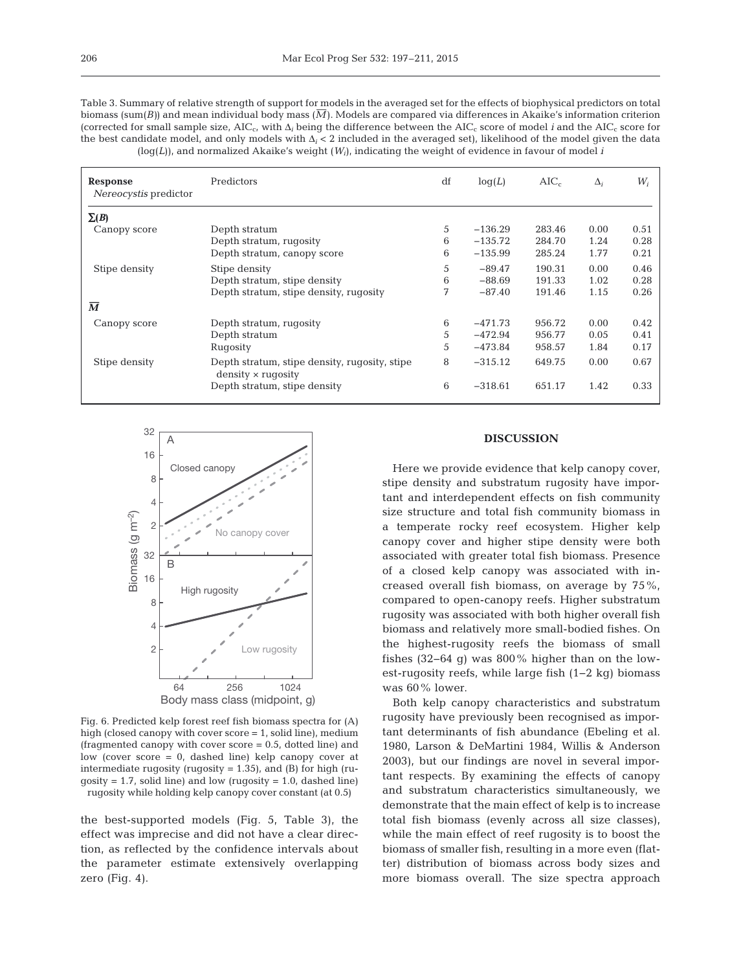Table 3. Summary of relative strength of support for models in the averaged set for the effects of biophysical predictors on total biomass (sum(*B*)) and mean individual body mass ( $\overline{M}$ ). Models are compared via differences in Akaike's information criterion (corrected for small sample size,  $AIC_c$ , with  $\Delta_i$  being the difference between the  $AIC_c$  score of model *i* and the  $AIC_c$  score for the best candidate model, and only models with Δ*<sup>i</sup>* < 2 included in the averaged set), likelihood of the model given the data (log(*L*)), and normalized Akaike's weight (*Wi*), indicating the weight of evidence in favour of model *i*

| Response<br>Nereocystis predictor | Predictors                                                                 | df | log(L)    | AIC <sub>c</sub> | $\Delta_i$ | $W_i$ |
|-----------------------------------|----------------------------------------------------------------------------|----|-----------|------------------|------------|-------|
| $\Sigma(B)$                       |                                                                            |    |           |                  |            |       |
| Canopy score                      | Depth stratum                                                              | 5  | $-136.29$ | 283.46           | 0.00       | 0.51  |
|                                   | Depth stratum, rugosity                                                    | 6  | $-135.72$ | 284.70           | 1.24       | 0.28  |
|                                   | Depth stratum, canopy score                                                | 6  | $-135.99$ | 285.24           | 1.77       | 0.21  |
| Stipe density                     | Stipe density                                                              | 5  | $-89.47$  | 190.31           | 0.00       | 0.46  |
|                                   | Depth stratum, stipe density                                               | 6  | $-88.69$  | 191.33           | 1.02       | 0.28  |
|                                   | Depth stratum, stipe density, rugosity                                     | 7  | $-87.40$  | 191.46           | 1.15       | 0.26  |
| $\overline{\mathbf{M}}$           |                                                                            |    |           |                  |            |       |
| Canopy score                      | Depth stratum, rugosity                                                    | 6  | $-471.73$ | 956.72           | 0.00       | 0.42  |
|                                   | Depth stratum                                                              | 5  | $-472.94$ | 956.77           | 0.05       | 0.41  |
|                                   | Rugosity                                                                   | 5  | $-473.84$ | 958.57           | 1.84       | 0.17  |
| Stipe density                     | Depth stratum, stipe density, rugosity, stipe<br>$density \times rugosity$ | 8  | $-315.12$ | 649.75           | 0.00       | 0.67  |
|                                   | Depth stratum, stipe density                                               | 6  | $-318.61$ | 651.17           | 1.42       | 0.33  |



Fig. 6. Predicted kelp forest reef fish biomass spectra for (A) high (closed canopy with cover score = 1, solid line), medium (fragmented canopy with cover score = 0.5, dotted line) and low (cover score = 0, dashed line) kelp canopy cover at intermediate rugosity (rugosity  $= 1.35$ ), and (B) for high (rugosity =  $1.7$ , solid line) and low (rugosity =  $1.0$ , dashed line) rugosity while holding kelp canopy cover constant (at 0.5)

the best-supported models (Fig. 5, Table 3), the effect was imprecise and did not have a clear direction, as reflected by the confidence intervals about the parameter estimate extensively overlapping zero (Fig. 4).

# **DISCUSSION**

Here we provide evidence that kelp canopy cover, stipe density and substratum rugosity have important and interdependent effects on fish community size structure and total fish community biomass in a temperate rocky reef ecosystem. Higher kelp canopy cover and higher stipe density were both associated with greater total fish biomass. Presence of a closed kelp canopy was associated with increased overall fish biomass, on average by 75%, compared to open-canopy reefs. Higher substratum rugosity was associated with both higher overall fish biomass and relatively more small-bodied fishes. On the highest-rugosity reefs the biomass of small fishes (32−64 g) was 800% higher than on the lowest-rugosity reefs, while large fish (1−2 kg) biomass was 60% lower.

Both kelp canopy characteristics and substratum rugosity have previously been recognised as important determinants of fish abundance (Ebeling et al. 1980, Larson & DeMartini 1984, Willis & Anderson 2003), but our findings are novel in several important respects. By examining the effects of canopy and substratum characteristics simultaneously, we demonstrate that the main effect of kelp is to increase total fish biomass (evenly across all size classes), while the main effect of reef rugosity is to boost the biomass of smaller fish, resulting in a more even (flatter) distribution of biomass across body sizes and more biomass overall. The size spectra approach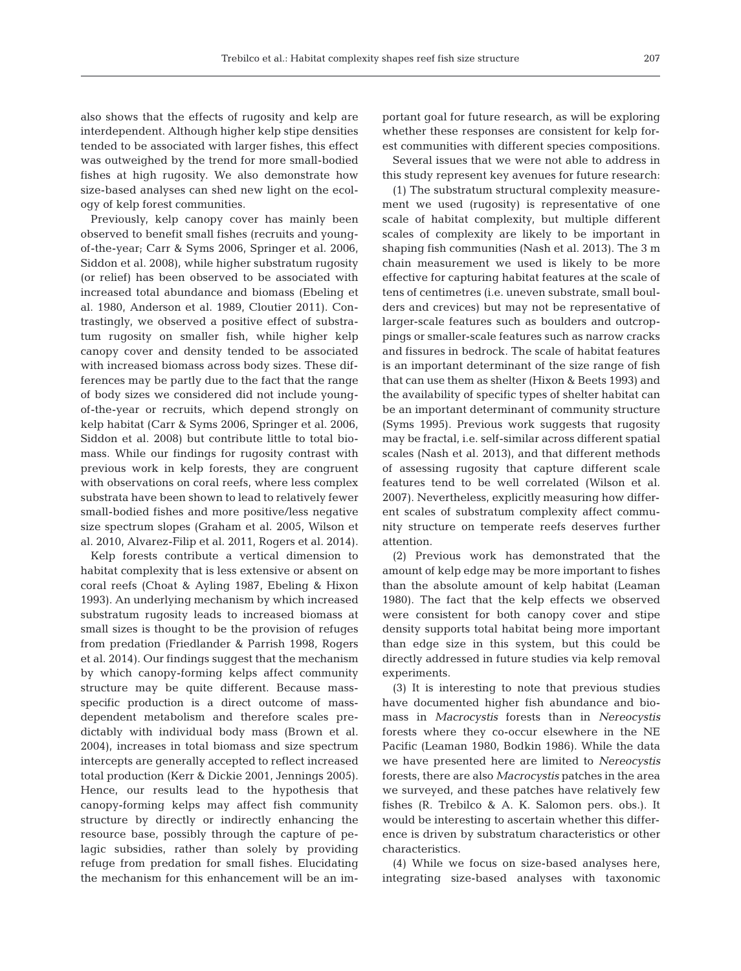also shows that the effects of rugosity and kelp are interdependent. Although higher kelp stipe densities tended to be associated with larger fishes, this effect was outweighed by the trend for more small-bodied fishes at high rugosity. We also demonstrate how size-based analyses can shed new light on the ecology of kelp forest communities.

Previously, kelp canopy cover has mainly been observed to benefit small fishes (recruits and youngof-the-year; Carr & Syms 2006, Springer et al. 2006, Siddon et al. 2008), while higher substratum rugosity (or relief) has been observed to be associated with increased total abundance and biomass (Ebeling et al. 1980, Anderson et al. 1989, Cloutier 2011). Contrastingly, we observed a positive effect of substratum rugosity on smaller fish, while higher kelp canopy cover and density tended to be associated with increased biomass across body sizes. These differences may be partly due to the fact that the range of body sizes we considered did not include youngof-the-year or recruits, which depend strongly on kelp habitat (Carr & Syms 2006, Springer et al. 2006, Siddon et al. 2008) but contribute little to total biomass. While our findings for rugosity contrast with previous work in kelp forests, they are congruent with observations on coral reefs, where less complex substrata have been shown to lead to relatively fewer small-bodied fishes and more positive/less negative size spectrum slopes (Graham et al. 2005, Wilson et al. 2010, Alvarez-Filip et al. 2011, Rogers et al. 2014).

Kelp forests contribute a vertical dimension to habitat complexity that is less extensive or absent on coral reefs (Choat & Ayling 1987, Ebeling & Hixon 1993). An underlying mechanism by which increased substratum rugosity leads to increased biomass at small sizes is thought to be the provision of refuges from predation (Friedlander & Parrish 1998, Rogers et al. 2014). Our findings suggest that the mechanism by which canopy-forming kelps affect community structure may be quite different. Because massspecific production is a direct outcome of massdependent metabolism and therefore scales predictably with individual body mass (Brown et al. 2004), increases in total biomass and size spectrum intercepts are generally accepted to reflect increased total production (Kerr & Dickie 2001, Jennings 2005). Hence, our results lead to the hypothesis that canopy-forming kelps may affect fish community structure by directly or indirectly enhancing the resource base, possibly through the capture of pe lagic subsidies, rather than solely by providing refuge from predation for small fishes. Elucidating the mechanism for this enhancement will be an important goal for future research, as will be exploring whether these responses are consistent for kelp forest communities with different species compositions.

Several issues that we were not able to address in this study represent key avenues for future research:

(1) The substratum structural complexity measurement we used (rugosity) is representative of one scale of habitat complexity, but multiple different scales of complexity are likely to be important in shaping fish communities (Nash et al. 2013). The 3 m chain measurement we used is likely to be more effective for capturing habitat features at the scale of tens of centimetres (i.e. uneven substrate, small boulders and crevices) but may not be representative of larger-scale features such as boulders and outcroppings or smaller-scale features such as narrow cracks and fissures in bedrock. The scale of habitat features is an important determinant of the size range of fish that can use them as shelter (Hixon & Beets 1993) and the availability of specific types of shelter habitat can be an important determinant of community structure (Syms 1995). Previous work suggests that rugosity may be fractal, i.e. self-similar across different spatial scales (Nash et al. 2013), and that different methods of assessing rugosity that capture different scale features tend to be well correlated (Wilson et al. 2007). Nevertheless, explicitly measuring how different scales of substratum complexity affect community structure on temperate reefs deserves further attention.

(2) Previous work has demonstrated that the amount of kelp edge may be more important to fishes than the absolute amount of kelp habitat (Leaman 1980). The fact that the kelp effects we observed were consistent for both canopy cover and stipe density supports total habitat being more important than edge size in this system, but this could be directly addressed in future studies via kelp removal experiments.

(3) It is interesting to note that previous studies have documented higher fish abundance and biomass in *Macrocystis* forests than in *Nereocystis* forests where they co-occur elsewhere in the NE Pacific (Leaman 1980, Bodkin 1986). While the data we have presented here are limited to *Nereocystis* forests, there are also *Macrocystis* patches in the area we surveyed, and these patches have relatively few fishes (R. Trebilco & A. K. Salomon pers. obs.). It would be interesting to ascertain whether this difference is driven by substratum characteristics or other characteristics.

(4) While we focus on size-based analyses here, integrating size-based analyses with taxonomic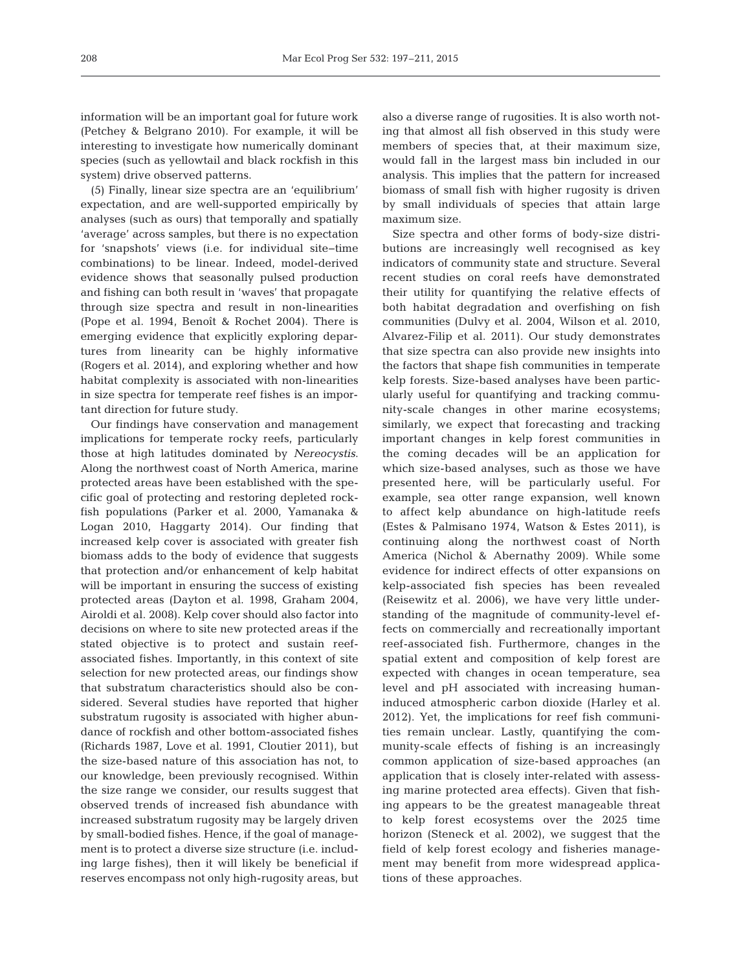information will be an important goal for future work (Petchey & Belgrano 2010). For example, it will be interesting to investigate how numerically dominant species (such as yellowtail and black rockfish in this system) drive observed patterns.

(5) Finally, linear size spectra are an 'equilibrium' ex pectation, and are well-supported empirically by analyses (such as ours) that temporally and spatially 'average' across samples, but there is no expectation for 'snapshots' views (i.e. for individual site−time combinations) to be linear. Indeed, model-derived evidence shows that seasonally pulsed production and fishing can both result in 'waves' that propagate through size spectra and result in non-linearities (Pope et al. 1994, Benoît & Rochet 2004). There is emerging evidence that explicitly exploring departures from linearity can be highly informative (Rogers et al. 2014), and exploring whether and how habitat complexity is associated with non-linearities in size spectra for temperate reef fishes is an important direction for future study.

Our findings have conservation and management implications for temperate rocky reefs, particularly those at high latitudes dominated by *Nereocystis*. Along the northwest coast of North America, marine protected areas have been established with the specific goal of protecting and restoring depleted rockfish populations (Parker et al. 2000, Yamanaka & Logan 2010, Haggarty 2014). Our finding that increased kelp cover is associated with greater fish biomass adds to the body of evidence that suggests that protection and/or enhancement of kelp habitat will be important in ensuring the success of existing protected areas (Dayton et al. 1998, Graham 2004, Airoldi et al. 2008). Kelp cover should also factor into decisions on where to site new protected areas if the stated objective is to protect and sustain reefassociated fishes. Importantly, in this context of site selection for new protected areas, our findings show that substratum characteristics should also be considered. Several studies have reported that higher substratum rugosity is associated with higher abundance of rockfish and other bottom-associated fishes (Richards 1987, Love et al. 1991, Cloutier 2011), but the size-based nature of this association has not, to our knowledge, been previously recognised. Within the size range we consider, our results suggest that observed trends of increased fish abundance with increased substratum rugosity may be largely driven by small-bodied fishes. Hence, if the goal of management is to protect a diverse size structure (i.e. including large fishes), then it will likely be beneficial if reserves encompass not only high-rugosity areas, but also a diverse range of rugosities. It is also worth noting that almost all fish observed in this study were members of species that, at their maximum size, would fall in the largest mass bin included in our analysis. This implies that the pattern for increased biomass of small fish with higher rugosity is driven by small individuals of species that attain large maximum size.

Size spectra and other forms of body-size distributions are increasingly well recognised as key indicators of community state and structure. Several recent studies on coral reefs have demonstrated their utility for quantifying the relative effects of both habitat degradation and overfishing on fish communities (Dulvy et al. 2004, Wilson et al. 2010, Alvarez-Filip et al. 2011). Our study demonstrates that size spectra can also provide new insights into the factors that shape fish communities in temperate kelp forests. Size-based analyses have been particularly useful for quantifying and tracking community-scale changes in other marine ecosystems; similarly, we expect that forecasting and tracking important changes in kelp forest communities in the coming decades will be an application for which size-based analyses, such as those we have presented here, will be particularly useful. For example, sea otter range expansion, well known to affect kelp abundance on high-latitude reefs (Estes & Palmisano 1974, Watson & Estes 2011), is continuing along the northwest coast of North America (Nichol & Abernathy 2009). While some evidence for indirect effects of otter expansions on kelp-associated fish species has been revealed (Reisewitz et al. 2006), we have very little understanding of the magnitude of community-level ef fects on commercially and recreationally important reef-associated fish. Furthermore, changes in the spatial extent and composition of kelp forest are expected with changes in ocean temperature, sea level and pH associated with increasing humaninduced atmospheric carbon dioxide (Harley et al. 2012). Yet, the implications for reef fish communities remain unclear. Lastly, quantifying the community-scale effects of fishing is an increasingly common application of size-based approaches (an application that is closely inter-related with assessing marine protected area effects). Given that fishing appears to be the greatest manageable threat to kelp forest ecosystems over the 2025 time horizon (Steneck et al. 2002), we suggest that the field of kelp forest ecology and fisheries management may benefit from more widespread applications of these approaches.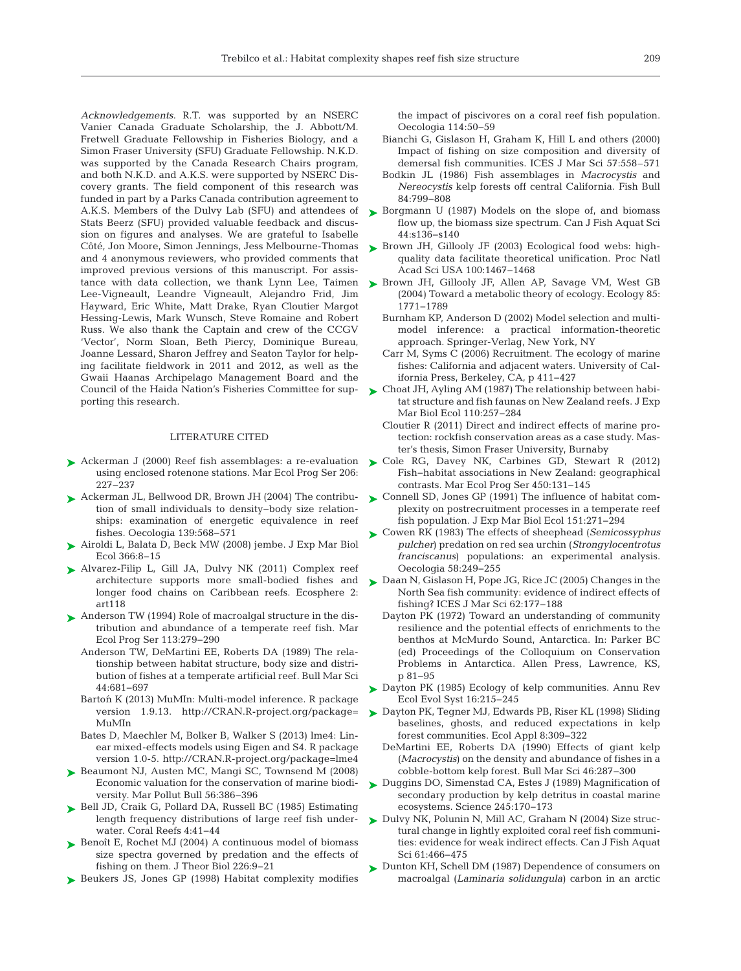*Acknowledgements*. R.T. was supported by an NSERC Vanier Canada Graduate Scholarship, the J. Abbott/M. Fretwell Graduate Fellowship in Fisheries Biology, and a Simon Fraser University (SFU) Graduate Fellowship. N.K.D. was supported by the Canada Research Chairs program, and both N.K.D. and A.K.S. were supported by NSERC Discovery grants. The field component of this research was funded in part by a Parks Canada contribution agreement to A.K.S. Members of the Dulvy Lab (SFU) and attendees of Stats Beerz (SFU) provided valuable feedback and discussion on figures and analyses. We are grateful to Isabelle Côté, Jon Moore, Simon Jennings, Jess Melbourne-Thomas and 4 anonymous reviewers, who provided comments that improved previous versions of this manuscript. For assistance with data collection, we thank Lynn Lee, Taimen Lee-Vigneault, Leandre Vigneault, Alejandro Frid, Jim Hayward, Eric White, Matt Drake, Ryan Cloutier Margot Hessing-Lewis, Mark Wunsch, Steve Romaine and Robert Russ. We also thank the Captain and crew of the CCGV 'Vector', Norm Sloan, Beth Piercy, Dominique Bureau, Joanne Lessard, Sharon Jeffrey and Seaton Taylor for helping facilitate fieldwork in 2011 and 2012, as well as the Gwaii Haanas Archipelago Management Board and the Council of the Haida Nation's Fisheries Committee for supporting this research.

#### LITERATURE CITED

- ▶ Ackerman J (2000) Reef fish assemblages: a re-evaluation ▶ [Cole RG, Davey NK, Carbines GD, Stewart R \(2012\)](http://dx.doi.org/10.3354/meps09566) using enclosed rotenone stations. Mar Ecol Prog Ser 206: 227−237
- [Ackerman JL, Bellwood DR, Brown JH \(2004\) The contribu-](http://dx.doi.org/10.1007/s00442-004-1536-0)➤ tion of small individuals to density−body size relationships: examination of energetic equivalence in reef fishes. Oecologia 139: 568−571
- [Airoldi L, Balata D, Beck MW \(2008\) jembe. J Exp Mar Biol](http://dx.doi.org/10.1098/rspb.2009.0339) ➤ Ecol 366: 8−15
- [Alvarez-Filip L, Gill JA, Dulvy NK \(2011\) Complex reef](http://dx.doi.org/10.1890/ES11-00185.1) ➤ architecture supports more small-bodied fishes and longer food chains on Caribbean reefs. Ecosphere 2: art118
- ▶ [Anderson TW \(1994\) Role of macroalgal structure in the dis](http://dx.doi.org/10.3354/meps113279)tribution and abundance of a temperate reef fish. Mar Ecol Prog Ser 113: 279−290
	- Anderson TW, DeMartini EE, Roberts DA (1989) The relationship between habitat structure, body size and distribution of fishes at a temperate artificial reef. Bull Mar Sci 44: 681−697
	- Bartoń K (2013) MuMIn: Multi-model inference. R package version 1.9.13. http://CRAN.R-project.org/package= MuMIn
	- Bates D, Maechler M, Bolker B, Walker S (2013) lme4: Linear mixed-effects models using Eigen and S4. R package version 1.0-5. http://CRAN.R-project.org/package=lme4
- ▶ [Beaumont NJ, Austen MC, Mangi SC, Townsend M \(2008\)](http://dx.doi.org/10.1016/j.marpolbul.2007.11.013) Economic valuation for the conservation of marine biodiversity. Mar Pollut Bull 56: 386−396
- ► [Bell JD, Craik G, Pollard DA, Russell BC \(1985\) Estimating](http://dx.doi.org/10.1007/BF00302203) length frequency distributions of large reef fish underwater. Coral Reefs 4:41-44
- ► [Benoît E, Rochet MJ \(2004\) A continuous model of biomass](http://dx.doi.org/10.1016/S0022-5193(03)00290-X) size spectra governed by predation and the effects of fishing on them. J Theor Biol 226:9-21
- ▶ [Beukers JS, Jones GP \(1998\) Habitat complexity modifies](http://dx.doi.org/10.1006/jmsc.2000.0727)

the impact of piscivores on a coral reef fish population. Oecologia 114:50-59

- Bianchi G, Gislason H, Graham K, Hill L and others (2000) Impact of fishing on size composition and diversity of demersal fish communities. ICES J Mar Sci 57:558–571
- Bodkin JL (1986) Fish assemblages in *Macrocystis* and *Nereocystis* kelp forests off central California. Fish Bull 84: 799−808
- ► [Borgmann U \(1987\) Models on the slope of, and biomass](http://dx.doi.org/10.1139/f87-316) flow up, the biomass size spectrum. Can J Fish Aquat Sci 44: s136−s140
- ▶ Brown JH, Gillooly JF (2003) Ecological food webs: highquality data facilitate theoretical unification. Proc Natl Acad Sci USA 100: 1467−1468
- ▶ [Brown JH, Gillooly JF, Allen AP, Savage VM, West GB](http://dx.doi.org/10.2307/5777) (2004) Toward a metabolic theory of ecology. Ecology 85: 1771−1789
	- Burnham KP, Anderson D (2002) Model selection and multimodel inference: a practical information-theoretic approach. Springer-Verlag, New York, NY
	- Carr M, Syms C (2006) Recruitment. The ecology of marine fishes:California and adjacent waters. University of California Press, Berkeley, CA, p 411−427
- ► [Choat JH, Ayling AM \(1987\) The relationship between habi](http://dx.doi.org/10.1016/0022-0981(87)90005-0)tat structure and fish faunas on New Zealand reefs. J Exp Mar Biol Ecol 110:257-284
	- Cloutier R (2011) Direct and indirect effects of marine protection: rockfish conservation areas as a case study. Master's thesis, Simon Fraser University, Burnaby
- Fish-habitat associations in New Zealand: geographical contrasts. Mar Ecol Prog Ser 450: 131−145
- ► [Connell SD, Jones GP \(1991\) The influence of habitat com](http://dx.doi.org/10.1016/0022-0981(91)90129-K)plexity on postrecruitment processes in a temperate reef fish population. J Exp Mar Biol Ecol 151:271−294
- [Cowen RK \(1983\) The effects of sheephead \(](http://dx.doi.org/10.1007/BF00399225)*Semicossyphus* ➤ *pulcher*) predation on red sea urchin (*Strongylocentrotus franciscanus*) populations: an experimental analysis. Oecologia 58: 249−255
- ► [Daan N, Gislason H, Pope JG, Rice JC \(2005\) Changes in the](http://dx.doi.org/10.1016/j.icesjms.2004.08.020) North Sea fish community: evidence of indirect effects of fishing? ICES J Mar Sci 62: 177−188
	- Dayton PK (1972) Toward an understanding of community resilience and the potential effects of enrichments to the benthos at McMurdo Sound, Antarctica. In: Parker BC (ed) Proceedings of the Colloquium on Conservation Problems in Antarctica. Allen Press, Lawrence, KS, p 81−95
- ► [Dayton PK \(1985\) Ecology of kelp communities. Annu Rev](http://dx.doi.org/10.1146/annurev.es.16.110185.001243) Ecol Evol Syst 16: 215−245
- ► [Dayton PK, Tegner MJ, Edwards PB, Riser KL \(1998\) Sliding](http://dx.doi.org/10.1890/1051-0761(1998)008%5b0309%3ASBGARE%5d2.0.CO%3B2) baselines, ghosts, and reduced expectations in kelp forest communities. Ecol Appl 8: 309−322
	- DeMartini EE, Roberts DA (1990) Effects of giant kelp (*Macrocystis*) on the density and abundance of fishes in a cobble-bottom kelp forest. Bull Mar Sci 46: 287−300
- ▶ [Duggins DO, Simenstad CA, Estes J \(1989\) Magnification of](http://dx.doi.org/10.1126/science.245.4914.170) secondary production by kelp detritus in coastal marine ecosystems. Science 245: 170−173
- ▶ [Dulvy NK, Polunin N, Mill AC, Graham N \(2004\) Size struc](http://dx.doi.org/10.1139/f03-169)tural change in lightly exploited coral reef fish communities: evidence for weak indirect effects. Can J Fish Aquat Sci 61:466-475
- ▶ [Dunton KH, Schell DM \(1987\) Dependence of consumers on](http://dx.doi.org/10.1007/BF00392799) macroalgal (*Laminaria solidungula*) carbon in an arctic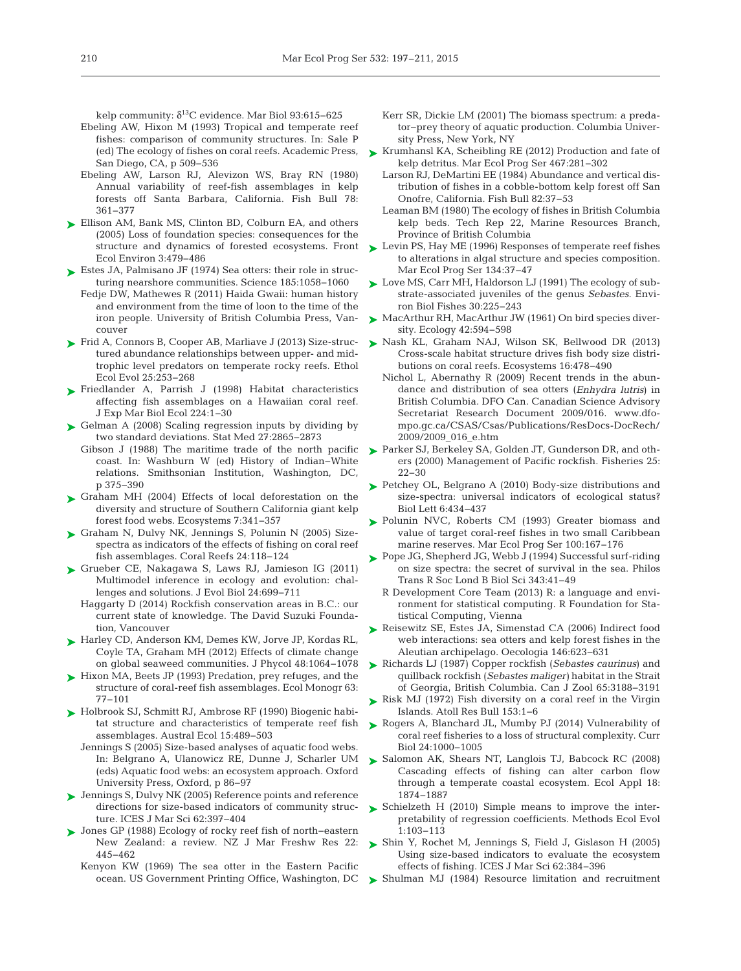kelp community:  $\delta^{13}$ C evidence. Mar Biol 93:615–625

- Ebeling AW, Hixon M (1993) Tropical and temperate reef fishes: comparison of community structures. In: Sale P (ed) The ecology of fishes on coral reefs. Academic Press, San Diego, CA, p 509−536
- Ebeling AW, Larson RJ, Alevizon WS, Bray RN (1980) Annual variability of reef-fish assemblages in kelp forests off Santa Barbara, California. Fish Bull 78: 361−377
- ► [Ellison AM, Bank MS, Clinton BD, Colburn EA, and others](http://dx.doi.org/10.1890/1540-9295(2005)003%5b0479%3ALOFSCF%5d2.0.CO%3B2) (2005) Loss of foundation species: consequences for the structure and dynamics of forested ecosystems. Front Ecol Environ 3: 479−486
- $\blacktriangleright$  Estes JA, Palmisano JF (1974) Sea otters: their role in structuring nearshore communities. Science 185:1058-1060
	- Fedje DW, Mathewes R (2011) Haida Gwaii: human history and environment from the time of loon to the time of the iron people. University of British Columbia Press, Vancouver
- [Frid A, Connors B, Cooper AB, Marliave J \(2013\) Size-struc-](http://dx.doi.org/10.1080/03949370.2013.798350)➤ tured abundance relationships between upper- and midtrophic level predators on temperate rocky reefs. Ethol Ecol Evol 25: 253−268
- [Friedlander A, Parrish J \(1998\) Habitat characteristics](http://dx.doi.org/10.1016/S0022-0981(97)00164-0) ➤ affecting fish assemblages on a Hawaiian coral reef. J Exp Mar Biol Ecol 224: 1−30
- ► [Gelman A \(2008\) Scaling regression inputs by dividing by](http://dx.doi.org/10.1002/sim.3107) two standard deviations. Stat Med 27:2865-2873
	- Gibson J (1988) The maritime trade of the north pacific coast. In:Washburn W (ed) History of Indian−White relations. Smithsonian Institution, Washington, DC, p 375−390
- ▶ [Graham MH \(2004\) Effects of local deforestation on the](http://dx.doi.org/10.1007/s10021-003-0245-6) diversity and structure of Southern California giant kelp forest food webs. Ecosystems 7: 341−357
- ► [Graham N, Dulvy NK, Jennings S, Polunin N \(2005\) Size](http://dx.doi.org/10.1007/s00338-004-0466-y)spectra as indicators of the effects of fishing on coral reef fish assemblages. Coral Reefs 24: 118−124
- [Grueber CE, Nakagawa S, Laws RJ, Jamieson IG \(2011\)](http://dx.doi.org/10.1111/j.1420-9101.2010.02210.x) ➤ Multimodel inference in ecology and evolution: challenges and solutions. J Evol Biol 24:699-711
	- Haggarty D (2014) Rockfish conservation areas in B.C.: our current state of knowledge. The David Suzuki Foundation, Vancouver
- ► [Harley CD, Anderson KM, Demes KW, Jorve JP, Kordas RL,](http://dx.doi.org/10.1111/j.1529-8817.2012.01224.x) Coyle TA, Graham MH (2012) Effects of climate change on global seaweed communities. J Phycol 48: 1064−1078
- ► [Hixon MA, Beets JP \(1993\) Predation, prey refuges, and the](http://dx.doi.org/10.2307/2937124) structure of coral-reef fish assemblages. Ecol Monogr 63: 77−101
- ► [Holbrook SJ, Schmitt RJ, Ambrose RF \(1990\) Biogenic habi](http://dx.doi.org/10.1111/j.1442-9993.1990.tb01473.x)tat structure and characteristics of temperate reef fish assemblages. Austral Ecol 15: 489−503
	- Jennings S (2005) Size-based analyses of aquatic food webs. In: Belgrano A, Ulanowicz RE, Dunne J, Scharler UM (eds) Aquatic food webs:an ecosystem approach. Oxford University Press, Oxford, p 86−97
- [Jennings S, Dulvy NK \(2005\) Reference points and reference](http://dx.doi.org/10.1016/j.icesjms.2004.07.030) ➤ directions for size-based indicators of community structure. ICES J Mar Sci 62: 397−404
- [Jones GP \(1988\) Ecology of rocky reef fish of north−eastern](http://dx.doi.org/10.1080/00288330.1988.9516315) ➤ New Zealand:a review. NZ J Mar Freshw Res 22: 445−462
	- Kenyon KW (1969) The sea otter in the Eastern Pacific ocean. US Government Printing Office, Washington, DC
- Kerr SR, Dickie LM (2001) The biomass spectrum: a predator−prey theory of aquatic production. Columbia University Press, New York, NY
- ► [Krumhansl KA, Scheibling RE \(2012\) Production and fate of](http://dx.doi.org/10.1890/07-1900.1) kelp detritus. Mar Ecol Prog Ser 467: 281−302
	- Larson RJ, DeMartini EE (1984) Abundance and vertical distribution of fishes in a cobble-bottom kelp forest off San Onofre, California. Fish Bull 82: 37−53
	- Leaman BM (1980) The ecology of fishes in British Columbia kelp beds. Tech Rep 22, Marine Resources Branch, Province of British Columbia
- ► [Levin PS, Hay ME \(1996\) Responses of temperate reef fishes](http://dx.doi.org/10.3354/meps134037) to alterations in algal structure and species composition. Mar Ecol Prog Ser 134:37-47
- ► [Love MS, Carr MH, Haldorson LJ \(1991\) The ecology of sub](http://dx.doi.org/10.1007/BF02296891)strate-associated juveniles of the genus *Sebastes*. Environ Biol Fishes 30: 225−243
- [MacArthur RH, MacArthur JW \(1961\) On bird species diver-](http://dx.doi.org/10.2307/1932254)➤ sity. Ecology 42:594-598
- ▶ [Nash KL, Graham NAJ, Wilson SK, Bellwood DR \(2013\)](http://dx.doi.org/10.1007/s10021-012-9625-0) Cross-scale habitat structure drives fish body size distributions on coral reefs. Ecosystems 16:478-490
	- Nichol L, Abernathy R (2009) Recent trends in the abundance and distribution of sea otters (*Enhydra lutris*) in British Columbia. DFO Can. Canadian Science Advisory Secretariat Research Document 2009/016. www.dfompo.gc.ca/CSAS/Csas/Publications/ResDocs-DocRech/ 2009/2009\_016\_e.htm
- [Parker SJ, Berkeley SA, Golden JT, Gunderson DR, and oth-](http://dx.doi.org/10.1577/1548-8446(2000)025%3C0022%3AMOPR%3E2.0.CO%3B2)➤ ers (2000) Management of Pacific rockfish. Fisheries 25: 22−30
- ► [Petchey OL, Belgrano A \(2010\) Body-size distributions and](http://dx.doi.org/10.1098/rsbl.2010.0240) size-spectra: universal indicators of ecological status? Biol Lett 6:434-437
- ▶ [Polunin NVC, Roberts CM \(1993\) Greater biomass and](http://dx.doi.org/10.3354/meps100167) value of target coral-reef fishes in two small Caribbean marine reserves. Mar Ecol Prog Ser 100: 167−176
- ▶ [Pope JG, Shepherd JG, Webb J \(1994\) Successful surf-riding](http://dx.doi.org/10.1098/rstb.1994.0006) on size spectra: the secret of survival in the sea. Philos Trans R Soc Lond B Biol Sci 343:41-49
	- R Development Core Team (2013) R: a language and environment for statistical computing. R Foundation for Statistical Computing, Vienna
- ▶ [Reisewitz SE, Estes JA, Simenstad CA \(2006\) Indirect food](http://dx.doi.org/10.1007/s00442-005-0230-1) web interactions: sea otters and kelp forest fishes in the Aleutian archipelago. Oecologia 146:623-631
- [Richards LJ \(1987\) Copper rockfish \(](http://dx.doi.org/10.1139/z87-478)*Sebastes caurinus*) and ➤ quillback rockfish (*Sebastes maliger)* habitat in the Strait of Georgia, British Columbia. Can J Zool 65: 3188−3191
- ▶ [Risk MJ \(1972\) Fish diversity on a coral reef in the Virgin](http://dx.doi.org/10.5479/si.00775630.153.1) Islands. Atoll Res Bull 153: 1−6
- ▶ [Rogers A, Blanchard JL, Mumby PJ \(2014\) Vulnerability of](http://dx.doi.org/10.1016/j.cub.2014.03.026) coral reef fisheries to a loss of structural complexity. Curr Biol 24: 1000−1005
- ▶ [Salomon AK, Shears NT, Langlois TJ, Babcock RC \(2008\)](http://dx.doi.org/10.1890/07-1777.1) Cascading effects of fishing can alter carbon flow through a temperate coastal ecosystem. Ecol Appl 18: 1874−1887
- ▶ [Schielzeth H \(2010\) Simple means to improve the inter](http://dx.doi.org/10.1111/j.2041-210X.2010.00012.x)pretability of regression coefficients. Methods Ecol Evol 1: 103−113
- [Shin Y, Rochet M, Jennings S, Field J, Gislason H \(2005\)](http://dx.doi.org/10.1016/j.icesjms.2005.01.004) ➤ Using size-based indicators to evaluate the ecosystem effects of fishing. ICES J Mar Sci 62: 384−396
- ▶ [Shulman MJ \(1984\) Resource limitation and recruitment](http://dx.doi.org/10.1016/0022-0981(84)90039-X)